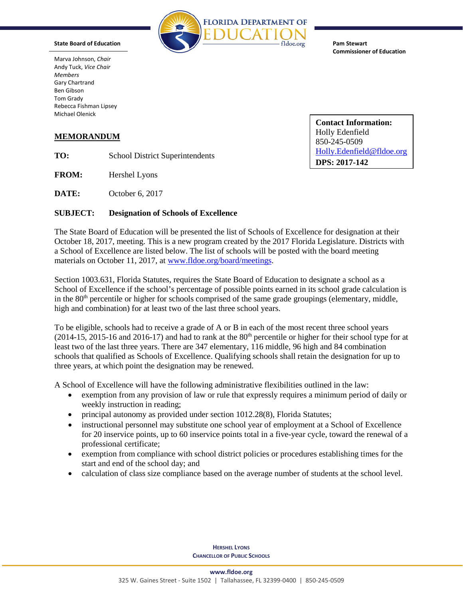

**Pam Stewart Commissioner of Education**

Marva Johnson, *Chair* Andy Tuck, *Vice Chair Members* Gary Chartrand Ben Gibson Tom Grady Rebecca Fishman Lipsey Michael Olenick

**State Board of Education**

## **MEMORANDUM**

**TO:** School District Superintendents

**FROM:** Hershel Lyons

**DATE:** October 6, 2017

## **SUBJECT: Designation of Schools of Excellence**

The State Board of Education will be presented the list of Schools of Excellence for designation at their October 18, 2017, meeting. This is a new program created by the 2017 Florida Legislature. Districts with a School of Excellence are listed below. The list of schools will be posted with the board meeting materials on October 11, 2017, a[t www.fldoe.org/board/meetings.](http://www.fldoe.org/board/meetings)

Section 1003.631, Florida Statutes, requires the State Board of Education to designate a school as a School of Excellence if the school's percentage of possible points earned in its school grade calculation is in the 80<sup>th</sup> percentile or higher for schools comprised of the same grade groupings (elementary, middle, high and combination) for at least two of the last three school years.

To be eligible, schools had to receive a grade of A or B in each of the most recent three school years  $(2014-15, 2015-16)$  and  $2016-17$ ) and had to rank at the  $80<sup>th</sup>$  percentile or higher for their school type for at least two of the last three years. There are 347 elementary, 116 middle, 96 high and 84 combination schools that qualified as Schools of Excellence. Qualifying schools shall retain the designation for up to three years, at which point the designation may be renewed.

A School of Excellence will have the following administrative flexibilities outlined in the law:

- exemption from any provision of law or rule that expressly requires a minimum period of daily or weekly instruction in reading;
- principal autonomy as provided under section 1012.28(8), Florida Statutes;
- instructional personnel may substitute one school year of employment at a School of Excellence for 20 inservice points, up to 60 inservice points total in a five-year cycle, toward the renewal of a professional certificate;
- exemption from compliance with school district policies or procedures establishing times for the start and end of the school day; and
- calculation of class size compliance based on the average number of students at the school level.

**HERSHEL LYONS CHANCELLOR OF PUBLIC SCHOOLS** **Contact Information:**  Holly Edenfield 850-245-0509 [Holly.Edenfield@fldoe.org](mailto:Holly.Edenfield@fldoe.org) **DPS: 2017-142**